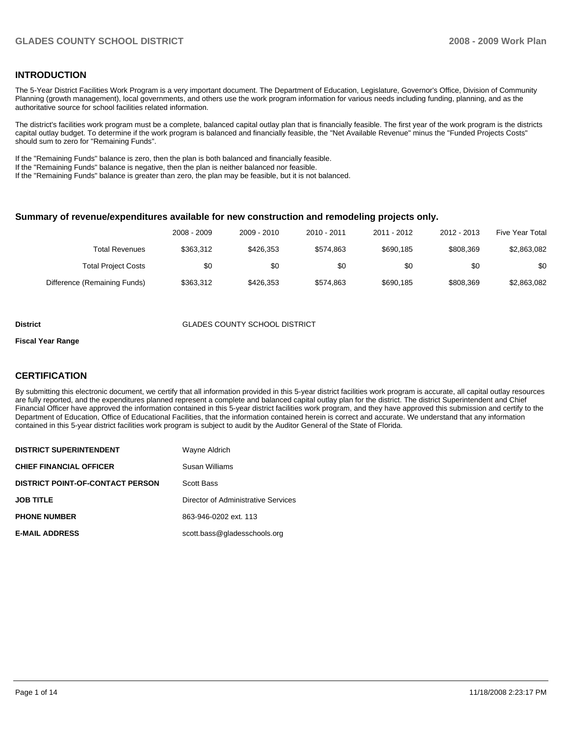## **INTRODUCTION**

The 5-Year District Facilities Work Program is a very important document. The Department of Education, Legislature, Governor's Office, Division of Community Planning (growth management), local governments, and others use the work program information for various needs including funding, planning, and as the authoritative source for school facilities related information.

The district's facilities work program must be a complete, balanced capital outlay plan that is financially feasible. The first year of the work program is the districts capital outlay budget. To determine if the work program is balanced and financially feasible, the "Net Available Revenue" minus the "Funded Projects Costs" should sum to zero for "Remaining Funds".

If the "Remaining Funds" balance is zero, then the plan is both balanced and financially feasible.

If the "Remaining Funds" balance is negative, then the plan is neither balanced nor feasible.

If the "Remaining Funds" balance is greater than zero, the plan may be feasible, but it is not balanced.

#### **Summary of revenue/expenditures available for new construction and remodeling projects only.**

| Five Year Total | 2012 - 2013 | 2011 - 2012 | $2010 - 2011$ | 2009 - 2010 | 2008 - 2009 |                              |
|-----------------|-------------|-------------|---------------|-------------|-------------|------------------------------|
| \$2,863,082     | \$808.369   | \$690.185   | \$574.863     | \$426.353   | \$363.312   | Total Revenues               |
| \$0             | \$0         | \$0         | \$0           | \$0         | \$0         | <b>Total Project Costs</b>   |
| \$2,863,082     | \$808.369   | \$690,185   | \$574.863     | \$426,353   | \$363,312   | Difference (Remaining Funds) |

#### **District** GLADES COUNTY SCHOOL DISTRICT

#### **Fiscal Year Range**

#### **CERTIFICATION**

By submitting this electronic document, we certify that all information provided in this 5-year district facilities work program is accurate, all capital outlay resources are fully reported, and the expenditures planned represent a complete and balanced capital outlay plan for the district. The district Superintendent and Chief Financial Officer have approved the information contained in this 5-year district facilities work program, and they have approved this submission and certify to the Department of Education, Office of Educational Facilities, that the information contained herein is correct and accurate. We understand that any information contained in this 5-year district facilities work program is subject to audit by the Auditor General of the State of Florida.

| <b>DISTRICT SUPERINTENDENT</b>          | Wayne Aldrich                       |
|-----------------------------------------|-------------------------------------|
| <b>CHIEF FINANCIAL OFFICER</b>          | Susan Williams                      |
| <b>DISTRICT POINT-OF-CONTACT PERSON</b> | Scott Bass                          |
| <b>JOB TITLE</b>                        | Director of Administrative Services |
| <b>PHONE NUMBER</b>                     | 863-946-0202 ext. 113               |
| <b>E-MAIL ADDRESS</b>                   | scott.bass@gladesschools.org        |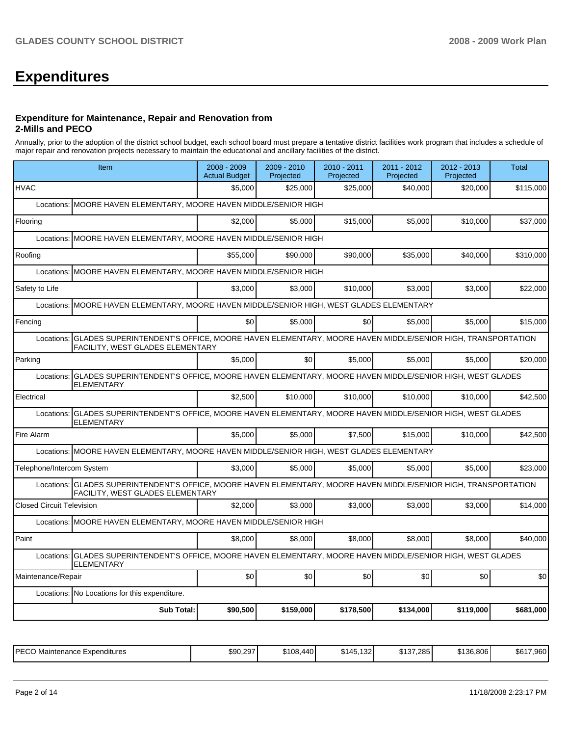# **Expenditures**

#### **Expenditure for Maintenance, Repair and Renovation from 2-Mills and PECO**

Annually, prior to the adoption of the district school budget, each school board must prepare a tentative district facilities work program that includes a schedule of major repair and renovation projects necessary to maintain the educational and ancillary facilities of the district.

| Item                                                                                                                                                     | 2008 - 2009<br><b>Actual Budget</b>                    | $2009 - 2010$<br>Projected | 2010 - 2011<br>Projected | 2011 - 2012<br>Projected | 2012 - 2013<br>Projected | <b>Total</b> |  |  |  |  |  |
|----------------------------------------------------------------------------------------------------------------------------------------------------------|--------------------------------------------------------|----------------------------|--------------------------|--------------------------|--------------------------|--------------|--|--|--|--|--|
| <b>HVAC</b>                                                                                                                                              | \$5.000                                                | \$25.000                   | \$25,000                 | \$40,000                 | \$20,000                 | \$115,000    |  |  |  |  |  |
| MOORE HAVEN ELEMENTARY, MOORE HAVEN MIDDLE/SENIOR HIGH<br>Locations:                                                                                     |                                                        |                            |                          |                          |                          |              |  |  |  |  |  |
| Flooring                                                                                                                                                 | \$2,000                                                | \$5,000                    | \$15,000                 | \$5,000                  | \$10,000                 | \$37,000     |  |  |  |  |  |
| Locations:                                                                                                                                               | MOORE HAVEN ELEMENTARY, MOORE HAVEN MIDDLE/SENIOR HIGH |                            |                          |                          |                          |              |  |  |  |  |  |
| Roofing                                                                                                                                                  | \$55,000                                               | \$90.000                   | \$90,000                 | \$35,000                 | \$40,000                 | \$310,000    |  |  |  |  |  |
| Locations: MOORE HAVEN ELEMENTARY, MOORE HAVEN MIDDLE/SENIOR HIGH                                                                                        |                                                        |                            |                          |                          |                          |              |  |  |  |  |  |
| Safety to Life                                                                                                                                           | \$3,000                                                | \$3,000                    | \$10,000                 | \$3,000                  | \$3,000                  | \$22,000     |  |  |  |  |  |
| MOORE HAVEN ELEMENTARY, MOORE HAVEN MIDDLE/SENIOR HIGH, WEST GLADES ELEMENTARY<br>Locations:                                                             |                                                        |                            |                          |                          |                          |              |  |  |  |  |  |
| Fencing                                                                                                                                                  | \$0                                                    | \$5,000                    | \$0                      | \$5,000                  | \$5,000                  | \$15,000     |  |  |  |  |  |
| GLADES SUPERINTENDENT'S OFFICE, MOORE HAVEN ELEMENTARY, MOORE HAVEN MIDDLE/SENIOR HIGH, TRANSPORTATION<br>Locations:<br>FACILITY, WEST GLADES ELEMENTARY |                                                        |                            |                          |                          |                          |              |  |  |  |  |  |
| Parking                                                                                                                                                  | \$5,000                                                | \$0                        | \$5,000                  | \$5,000                  | \$5,000                  | \$20.000     |  |  |  |  |  |
| GLADES SUPERINTENDENT'S OFFICE, MOORE HAVEN ELEMENTARY, MOORE HAVEN MIDDLE/SENIOR HIGH, WEST GLADES<br>Locations:<br><b>ELEMENTARY</b>                   |                                                        |                            |                          |                          |                          |              |  |  |  |  |  |
| Electrical                                                                                                                                               | \$2,500                                                | \$10,000                   | \$10,000                 | \$10,000                 | \$10,000                 | \$42,500     |  |  |  |  |  |
| GLADES SUPERINTENDENT'S OFFICE, MOORE HAVEN ELEMENTARY, MOORE HAVEN MIDDLE/SENIOR HIGH, WEST GLADES<br>Locations:<br><b>ELEMENTARY</b>                   |                                                        |                            |                          |                          |                          |              |  |  |  |  |  |
| Fire Alarm                                                                                                                                               | \$5,000                                                | \$5,000                    | \$7,500                  | \$15,000                 | \$10,000                 | \$42,500     |  |  |  |  |  |
| Locations: MOORE HAVEN ELEMENTARY, MOORE HAVEN MIDDLE/SENIOR HIGH, WEST GLADES ELEMENTARY                                                                |                                                        |                            |                          |                          |                          |              |  |  |  |  |  |
| Telephone/Intercom System                                                                                                                                | \$3,000                                                | \$5,000                    | \$5,000                  | \$5,000                  | \$5,000                  | \$23,000     |  |  |  |  |  |
| Locations: GLADES SUPERINTENDENT'S OFFICE, MOORE HAVEN ELEMENTARY, MOORE HAVEN MIDDLE/SENIOR HIGH, TRANSPORTATION<br>FACILITY, WEST GLADES ELEMENTARY    |                                                        |                            |                          |                          |                          |              |  |  |  |  |  |
| <b>Closed Circuit Television</b>                                                                                                                         | \$2,000                                                | \$3,000                    | \$3,000                  | \$3,000                  | \$3,000                  | \$14,000     |  |  |  |  |  |
| Locations: MOORE HAVEN ELEMENTARY, MOORE HAVEN MIDDLE/SENIOR HIGH                                                                                        |                                                        |                            |                          |                          |                          |              |  |  |  |  |  |
| Paint                                                                                                                                                    | \$8,000                                                | \$8,000                    | \$8,000                  | \$8,000                  | \$8,000                  | \$40,000     |  |  |  |  |  |
| GLADES SUPERINTENDENT'S OFFICE, MOORE HAVEN ELEMENTARY, MOORE HAVEN MIDDLE/SENIOR HIGH, WEST GLADES<br>Locations:<br><b>ELEMENTARY</b>                   |                                                        |                            |                          |                          |                          |              |  |  |  |  |  |
| Maintenance/Repair                                                                                                                                       | \$0                                                    | \$0                        | \$0                      | \$0                      | \$0                      | \$0          |  |  |  |  |  |
| Locations: No Locations for this expenditure.                                                                                                            |                                                        |                            |                          |                          |                          |              |  |  |  |  |  |
| <b>Sub Total:</b>                                                                                                                                        | \$90,500                                               | \$159,000                  | \$178,500                | \$134,000                | \$119,000                | \$681,000    |  |  |  |  |  |

| <b>PECO</b><br>Maintenance<br>∘ Expenditures<br>└─ | \$90.297 | \$108,440 | $\overline{\phantom{a}}$<br>∼<br>\$145.132 | ↑ ィ ⌒ →<br>7.285 l<br>، ن ن | \$136.806 | റലി<br>0.017<br>.<br>30 I<br>. 900 |
|----------------------------------------------------|----------|-----------|--------------------------------------------|-----------------------------|-----------|------------------------------------|
|----------------------------------------------------|----------|-----------|--------------------------------------------|-----------------------------|-----------|------------------------------------|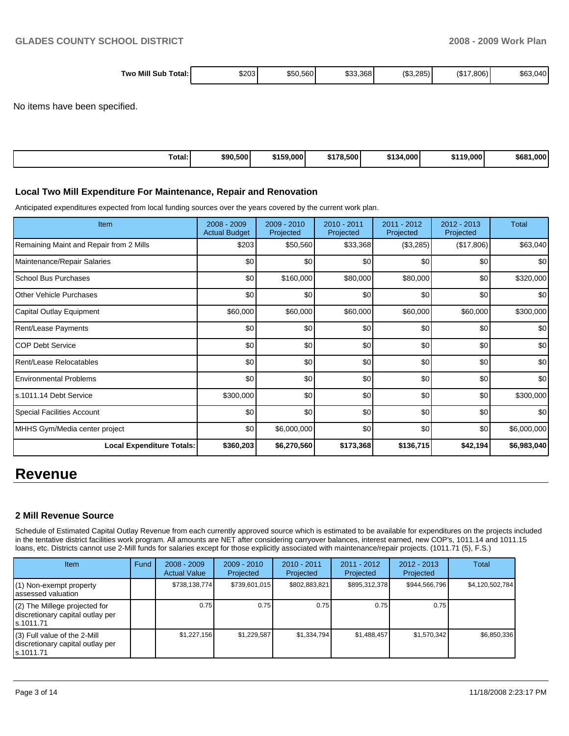| <b>Two Mill</b><br>\$203<br>\$50,560<br>Total:<br>Sub | (S3.2)<br>\$33,368 | (S17)<br>285)<br>(306)<br>\$63,040 |
|-------------------------------------------------------|--------------------|------------------------------------|
|-------------------------------------------------------|--------------------|------------------------------------|

No items have been specified.

| Total: | \$90,500 | \$159,000 | \$178.500 | 4.000 <sup>1</sup><br>**^<br>. . 34 . | 19.0001<br>\$110 | \$681<br>1.000' |
|--------|----------|-----------|-----------|---------------------------------------|------------------|-----------------|

#### **Local Two Mill Expenditure For Maintenance, Repair and Renovation**

Anticipated expenditures expected from local funding sources over the years covered by the current work plan.

| <b>Item</b>                             | 2008 - 2009<br><b>Actual Budget</b> | $2009 - 2010$<br>Projected | $2010 - 2011$<br>Projected | 2011 - 2012<br>Projected | $2012 - 2013$<br>Projected | Total       |
|-----------------------------------------|-------------------------------------|----------------------------|----------------------------|--------------------------|----------------------------|-------------|
| Remaining Maint and Repair from 2 Mills | \$203                               | \$50,560                   | \$33,368                   | (\$3,285)                | (\$17,806)                 | \$63,040    |
| Maintenance/Repair Salaries             | \$0                                 | \$0                        | \$0                        | \$0                      | \$0                        | \$0         |
| School Bus Purchases                    | \$0                                 | \$160,000                  | \$80,000                   | \$80,000                 | \$0                        | \$320,000   |
| Other Vehicle Purchases                 | \$0                                 | \$0                        | \$0                        | \$0                      | \$0                        | \$0         |
| Capital Outlay Equipment                | \$60,000                            | \$60,000                   | \$60,000                   | \$60,000                 | \$60,000                   | \$300,000   |
| Rent/Lease Payments                     | \$0                                 | \$0                        | \$0                        | \$0                      | \$0                        | \$0         |
| <b>COP Debt Service</b>                 | \$0                                 | \$0                        | \$0                        | \$0                      | \$0                        | \$0         |
| Rent/Lease Relocatables                 | \$0                                 | \$0                        | \$0                        | \$0                      | \$0                        | \$0         |
| <b>Environmental Problems</b>           | \$0                                 | \$0                        | \$0                        | \$0                      | \$0                        | \$0         |
| ls.1011.14 Debt Service                 | \$300,000                           | \$0                        | \$0                        | \$0                      | \$0                        | \$300,000   |
| Special Facilities Account              | \$0                                 | \$0                        | \$0                        | \$0                      | \$0                        | \$0         |
| MHHS Gym/Media center project           | \$0                                 | \$6,000,000                | \$0                        | \$0                      | \$0                        | \$6,000,000 |
| <b>Local Expenditure Totals:</b>        | \$360,203                           | \$6,270,560                | \$173,368                  | \$136,715                | \$42,194                   | \$6,983,040 |

# **Revenue**

#### **2 Mill Revenue Source**

Schedule of Estimated Capital Outlay Revenue from each currently approved source which is estimated to be available for expenditures on the projects included in the tentative district facilities work program. All amounts are NET after considering carryover balances, interest earned, new COP's, 1011.14 and 1011.15 loans, etc. Districts cannot use 2-Mill funds for salaries except for those explicitly associated with maintenance/repair projects. (1011.71 (5), F.S.)

| <b>Item</b>                                                                       | Fund | $2008 - 2009$<br><b>Actual Value</b> | $2009 - 2010$<br>Projected | $2010 - 2011$<br>Projected | $2011 - 2012$<br>Projected | $2012 - 2013$<br>Projected | Total           |
|-----------------------------------------------------------------------------------|------|--------------------------------------|----------------------------|----------------------------|----------------------------|----------------------------|-----------------|
| (1) Non-exempt property<br>lassessed valuation                                    |      | \$738,138,774                        | \$739,601,015              | \$802,883,821              | \$895,312,378              | \$944,566,796              | \$4,120,502,784 |
| $(2)$ The Millege projected for<br>discretionary capital outlay per<br>ls.1011.71 |      | 0.75                                 | 0.75                       | 0.75                       | 0.75                       | 0.75                       |                 |
| $(3)$ Full value of the 2-Mill<br>discretionary capital outlay per<br>ls.1011.71  |      | \$1,227,156                          | \$1,229,587                | \$1,334,794                | \$1,488,457                | \$1,570,342                | \$6,850,336     |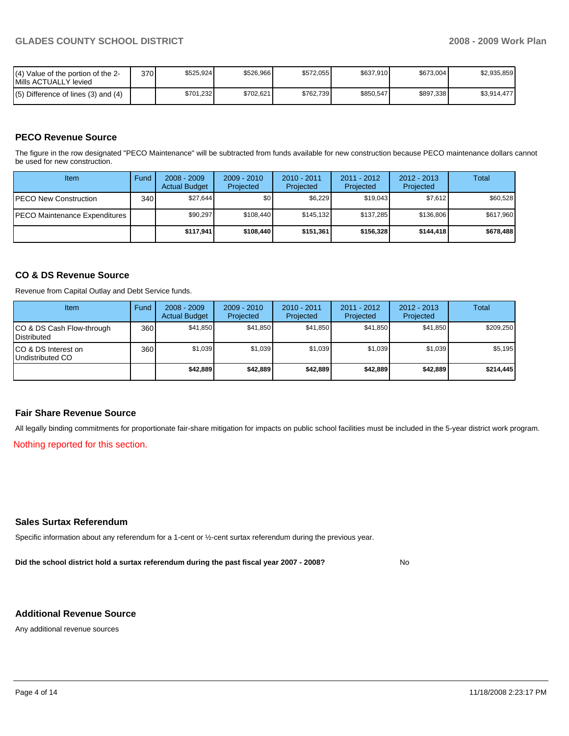| I(4) Value of the portion of the 2-<br>Mills ACTUALLY levied | 370 | \$525.924 | \$526,966 | \$572.055 | \$637.910 | \$673,004 | \$2,935,859 |
|--------------------------------------------------------------|-----|-----------|-----------|-----------|-----------|-----------|-------------|
| $(5)$ Difference of lines (3) and (4)                        |     | \$701.232 | \$702,621 | \$762.739 | \$850.547 | \$897,338 | \$3,914,477 |

## **PECO Revenue Source**

The figure in the row designated "PECO Maintenance" will be subtracted from funds available for new construction because PECO maintenance dollars cannot be used for new construction.

| Item                                  | Fund         | $2008 - 2009$<br><b>Actual Budget</b> | $2009 - 2010$<br>Projected | $2010 - 2011$<br>Projected | 2011 - 2012<br>Projected | $2012 - 2013$<br>Projected | Total     |
|---------------------------------------|--------------|---------------------------------------|----------------------------|----------------------------|--------------------------|----------------------------|-----------|
| <b>IPECO New Construction</b>         | 340 <b>I</b> | \$27,644                              | \$0                        | \$6,229                    | \$19.043                 | \$7,612                    | \$60,528  |
| <b>IPECO Maintenance Expenditures</b> |              | \$90,297                              | \$108.440                  | \$145.132                  | \$137.285                | \$136.806                  | \$617,960 |
|                                       |              | \$117.941                             | \$108,440                  | \$151.361                  | \$156,328                | \$144,418                  | \$678,488 |

## **CO & DS Revenue Source**

Revenue from Capital Outlay and Debt Service funds.

| Item                                            | Fund             | $2008 - 2009$<br><b>Actual Budget</b> | $2009 - 2010$<br>Projected | $2010 - 2011$<br>Projected | $2011 - 2012$<br>Projected | $2012 - 2013$<br>Projected | Total     |
|-------------------------------------------------|------------------|---------------------------------------|----------------------------|----------------------------|----------------------------|----------------------------|-----------|
| CO & DS Cash Flow-through<br><b>Distributed</b> | 360 <sup>1</sup> | \$41,850                              | \$41,850                   | \$41.850                   | \$41.850                   | \$41,850                   | \$209,250 |
| CO & DS Interest on<br>Undistributed CO         | 360              | \$1,039                               | \$1,039                    | \$1,039                    | \$1.039                    | \$1,039                    | \$5,195   |
|                                                 |                  | \$42.889                              | \$42,889                   | \$42.889                   | \$42.889                   | \$42,889                   | \$214,445 |

#### **Fair Share Revenue Source**

All legally binding commitments for proportionate fair-share mitigation for impacts on public school facilities must be included in the 5-year district work program.

Nothing reported for this section.

#### **Sales Surtax Referendum**

Specific information about any referendum for a 1-cent or ½-cent surtax referendum during the previous year.

**Did the school district hold a surtax referendum during the past fiscal year 2007 - 2008?** No

#### **Additional Revenue Source**

Any additional revenue sources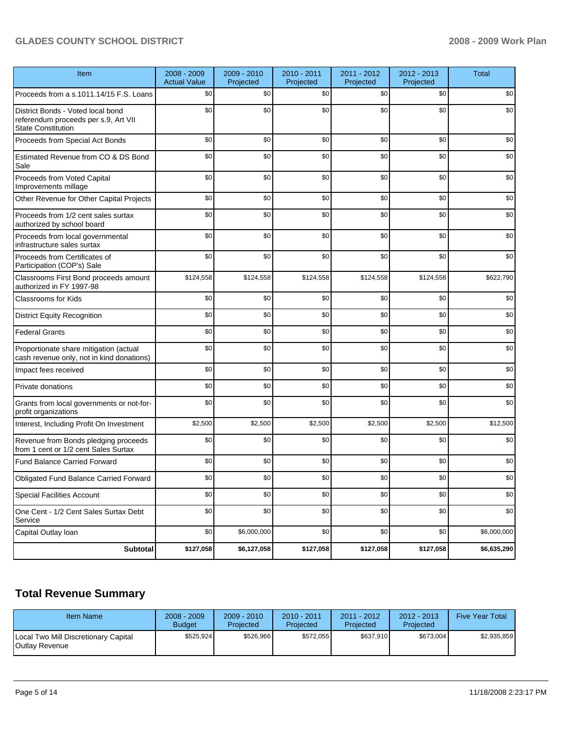# GLADES COUNTY SCHOOL DISTRICT **2008 - 2009 Work Plan**

| Item                                                                                                   | $2008 - 2009$<br><b>Actual Value</b> | $2009 - 2010$<br>Projected | 2010 - 2011<br>Projected | 2011 - 2012<br>Projected | 2012 - 2013<br>Projected | <b>Total</b> |
|--------------------------------------------------------------------------------------------------------|--------------------------------------|----------------------------|--------------------------|--------------------------|--------------------------|--------------|
| Proceeds from a s.1011.14/15 F.S. Loans                                                                | \$0                                  | \$0                        | \$0                      | \$0                      | \$0                      | \$0          |
| District Bonds - Voted local bond<br>referendum proceeds per s.9, Art VII<br><b>State Constitution</b> | \$0                                  | \$0                        | \$0                      | \$0                      | \$0                      | \$0          |
| Proceeds from Special Act Bonds                                                                        | \$0                                  | \$0                        | \$0                      | \$0                      | \$0                      | \$0          |
| Estimated Revenue from CO & DS Bond<br>Sale                                                            | \$0                                  | \$0                        | \$0                      | \$0                      | \$0                      | \$0          |
| Proceeds from Voted Capital<br>Improvements millage                                                    | \$0                                  | \$0                        | \$0                      | \$0                      | \$0                      | \$0          |
| Other Revenue for Other Capital Projects                                                               | \$0                                  | \$0                        | \$0                      | \$0                      | \$0                      | \$0          |
| Proceeds from 1/2 cent sales surtax<br>authorized by school board                                      | \$0                                  | \$0                        | \$0                      | \$0                      | \$0                      | \$0          |
| Proceeds from local governmental<br>infrastructure sales surtax                                        | \$0                                  | \$0                        | \$0                      | \$0                      | \$0                      | \$0          |
| Proceeds from Certificates of<br>Participation (COP's) Sale                                            | \$0                                  | \$0                        | \$0                      | \$0                      | \$0                      | \$0          |
| Classrooms First Bond proceeds amount<br>authorized in FY 1997-98                                      | \$124,558                            | \$124,558                  | \$124,558                | \$124,558                | \$124,558                | \$622,790    |
| <b>Classrooms for Kids</b>                                                                             | \$0                                  | \$0                        | \$0                      | \$0                      | \$0                      | \$0          |
| <b>District Equity Recognition</b>                                                                     | \$0                                  | \$0                        | \$0                      | \$0                      | \$0                      | \$0          |
| <b>Federal Grants</b>                                                                                  | \$0                                  | \$0                        | \$0                      | \$0                      | \$0                      | \$0          |
| Proportionate share mitigation (actual<br>cash revenue only, not in kind donations)                    | \$0                                  | \$0                        | \$0                      | \$0                      | \$0                      | \$0          |
| Impact fees received                                                                                   | \$0                                  | \$0                        | \$0                      | \$0                      | \$0                      | \$0          |
| Private donations                                                                                      | \$0                                  | \$0                        | \$0                      | \$0                      | \$0                      | \$0          |
| Grants from local governments or not-for-<br>profit organizations                                      | \$0                                  | \$0                        | \$0                      | \$0                      | \$0                      | \$0          |
| Interest, Including Profit On Investment                                                               | \$2,500                              | \$2,500                    | \$2,500                  | \$2,500                  | \$2,500                  | \$12,500     |
| Revenue from Bonds pledging proceeds<br>from 1 cent or 1/2 cent Sales Surtax                           | \$0                                  | \$0                        | \$0                      | \$0                      | \$0                      | \$0          |
| <b>Fund Balance Carried Forward</b>                                                                    | \$0                                  | \$0                        | \$0                      | \$0                      | \$0                      | \$0          |
| <b>Obligated Fund Balance Carried Forward</b>                                                          | \$0                                  | \$0                        | \$0                      | \$0                      | \$0                      | \$0          |
| <b>Special Facilities Account</b>                                                                      | \$0                                  | \$0                        | \$0                      | $$0$$                    | \$0                      | $\$0$        |
| One Cent - 1/2 Cent Sales Surtax Debt<br>Service                                                       | \$0                                  | \$0                        | \$0                      | \$0                      | \$0                      | \$0          |
| Capital Outlay Ioan                                                                                    | \$0                                  | \$6,000,000                | \$0                      | \$0                      | \$0                      | \$6,000,000  |
| <b>Subtotal</b>                                                                                        | \$127,058                            | \$6,127,058                | \$127,058                | \$127,058                | \$127,058                | \$6,635,290  |

# **Total Revenue Summary**

| Item Name                                              | $2008 - 2009$<br><b>Budget</b> | $2009 - 2010$<br>Projected | $2010 - 2011$<br>Projected | 2011 - 2012<br>Projected | $2012 - 2013$<br>Projected | <b>Five Year Total</b> |
|--------------------------------------------------------|--------------------------------|----------------------------|----------------------------|--------------------------|----------------------------|------------------------|
| Local Two Mill Discretionary Capital<br>Outlay Revenue | \$525.924                      | \$526,966                  | \$572.055                  | \$637.910                | \$673,004                  | \$2,935,859            |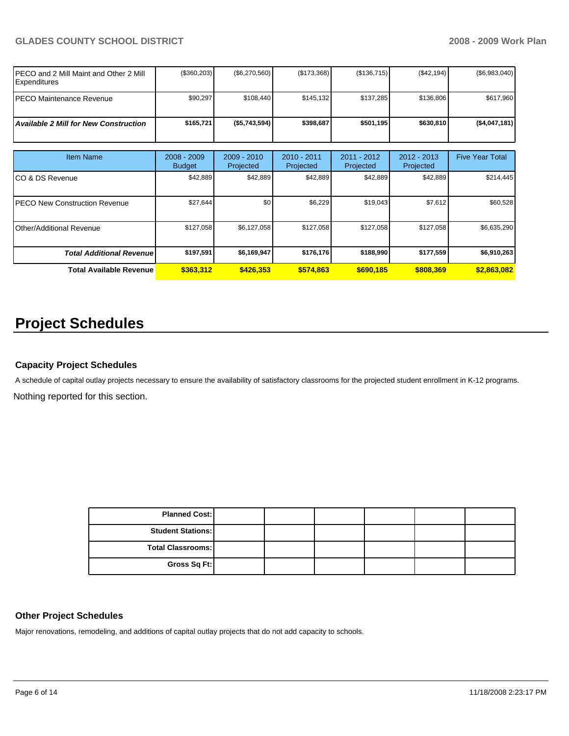# GLADES COUNTY SCHOOL DISTRICT **2008 - 2009 Work Plan**

| PECO and 2 Mill Maint and Other 2 Mill<br><b>Expenditures</b> | (\$360,203)                  | $(\$6,270,560)$          | (\$173,368)              | (\$136,715)                | (\$42,194)                 | (\$6,983,040)          |
|---------------------------------------------------------------|------------------------------|--------------------------|--------------------------|----------------------------|----------------------------|------------------------|
| <b>PECO Maintenance Revenue</b>                               | \$90,297                     | \$108,440                | \$145,132                | \$137,285                  | \$136,806                  | \$617,960              |
| <b>Available 2 Mill for New Construction</b>                  | \$165,721                    | (\$5,743,594)            | \$398,687                | \$501,195                  | \$630,810                  | (\$4,047,181)          |
|                                                               |                              |                          |                          |                            |                            |                        |
| <b>Item Name</b>                                              | 2008 - 2009<br><b>Budget</b> | 2009 - 2010<br>Projected | 2010 - 2011<br>Projected | $2011 - 2012$<br>Projected | $2012 - 2013$<br>Projected | <b>Five Year Total</b> |
| ICO & DS Revenue                                              | \$42,889                     | \$42,889                 | \$42,889                 | \$42,889                   | \$42,889                   | \$214,445              |
| <b>IPECO New Construction Revenue</b>                         | \$27,644                     | \$0 <sub>1</sub>         | \$6,229                  | \$19,043                   | \$7,612                    | \$60,528               |
| <b>I</b> Other/Additional Revenue                             | \$127,058                    | \$6,127,058              | \$127,058                | \$127,058                  | \$127,058                  | \$6,635,290            |
| <b>Total Additional Revenue</b>                               | \$197,591                    | \$6,169,947              | \$176,176                | \$188,990                  | \$177,559                  | \$6,910,263            |
| <b>Total Available Revenue</b>                                | \$363,312                    | \$426,353                | \$574,863                | \$690,185                  | \$808,369                  | \$2,863,082            |

# **Project Schedules**

# **Capacity Project Schedules**

A schedule of capital outlay projects necessary to ensure the availability of satisfactory classrooms for the projected student enrollment in K-12 programs. Nothing reported for this section.

| <b>Planned Cost:</b>     |  |  |  |
|--------------------------|--|--|--|
| <b>Student Stations:</b> |  |  |  |
| <b>Total Classrooms:</b> |  |  |  |
| Gross Sq Ft:             |  |  |  |

#### **Other Project Schedules**

Major renovations, remodeling, and additions of capital outlay projects that do not add capacity to schools.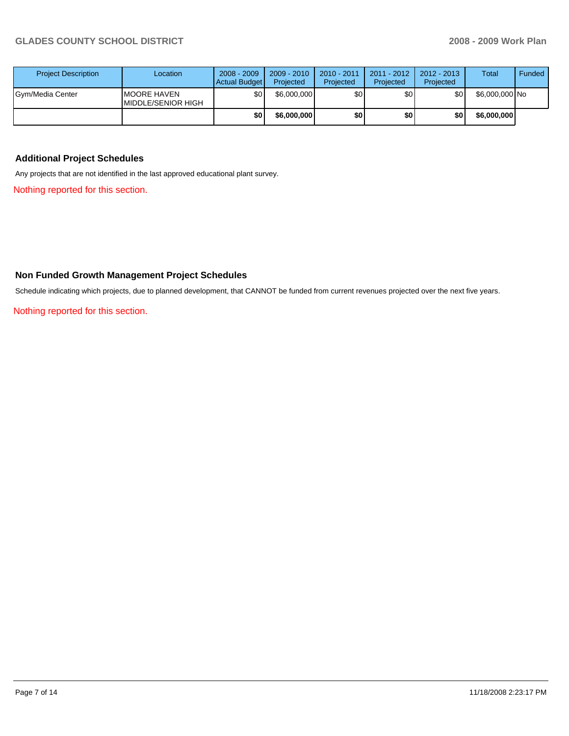| <b>Project Description</b> | Location                                   | $2008 - 2009$<br>Actual Budget | $2009 - 2010$<br>Projected | 2010 - 2011<br>Projected | 2011 - 2012<br>Projected | 2012 - 2013<br>Projected | <b>Total</b>   | Funded |
|----------------------------|--------------------------------------------|--------------------------------|----------------------------|--------------------------|--------------------------|--------------------------|----------------|--------|
| Gym/Media Center           | <b>IMOORE HAVEN</b><br>IMIDDLE/SENIOR HIGH | \$0                            | \$6,000,000                | \$0                      | \$0                      | \$0                      | \$6,000,000 No |        |
|                            |                                            | \$0                            | \$6,000,000                | \$0                      | \$0                      | \$0                      | \$6,000,000    |        |

# **Additional Project Schedules**

Any projects that are not identified in the last approved educational plant survey.

Nothing reported for this section.

# **Non Funded Growth Management Project Schedules**

Schedule indicating which projects, due to planned development, that CANNOT be funded from current revenues projected over the next five years.

Nothing reported for this section.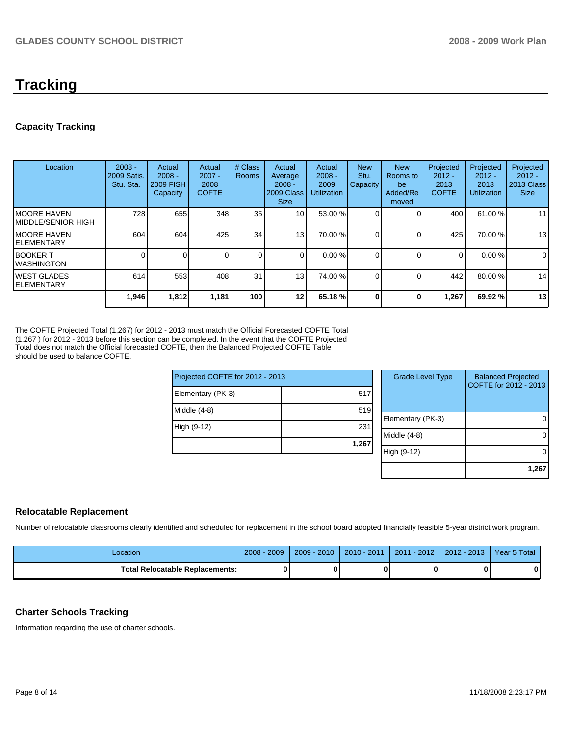# **Tracking**

# **Capacity Tracking**

| Location                            | $2008 -$<br>2009 Satis.<br>Stu. Sta. | Actual<br>$2008 -$<br><b>2009 FISH</b><br>Capacity | Actual<br>$2007 -$<br>2008<br><b>COFTE</b> | # Class<br><b>Rooms</b> | Actual<br>Average<br>$2008 -$<br>2009 Class<br><b>Size</b> | Actual<br>$2008 -$<br>2009<br><b>Utilization</b> | <b>New</b><br>Stu.<br>Capacity | <b>New</b><br>Rooms to<br>be<br>Added/Re<br>moved | Projected<br>$2012 -$<br>2013<br><b>COFTE</b> | Projected<br>$2012 -$<br>2013<br><b>Utilization</b> | Projected<br>$2012 -$<br>2013 Class<br><b>Size</b> |
|-------------------------------------|--------------------------------------|----------------------------------------------------|--------------------------------------------|-------------------------|------------------------------------------------------------|--------------------------------------------------|--------------------------------|---------------------------------------------------|-----------------------------------------------|-----------------------------------------------------|----------------------------------------------------|
| IMOORE HAVEN<br>IMIDDLE/SENIOR HIGH | 728                                  | 655                                                | 348                                        | 35                      | 10 <sup>1</sup>                                            | 53.00 %                                          |                                | 0                                                 | 400                                           | 61.00 %                                             | 11                                                 |
| IMOORE HAVEN<br>IELEMENTARY         | 604                                  | 604                                                | 425                                        | 34                      | 13 <sub>1</sub>                                            | 70.00 %                                          |                                |                                                   | 425                                           | 70.00 %                                             | 13                                                 |
| IBOOKER T<br>IWASHINGTON            |                                      |                                                    |                                            | $\Omega$                |                                                            | 0.00%                                            |                                |                                                   | 0                                             | 0.00%                                               | 0                                                  |
| <b>IWEST GLADES</b><br>IELEMENTARY  | 614                                  | 553                                                | 408                                        | 31                      | 13                                                         | 74.00 %                                          |                                | $\Omega$                                          | 442                                           | 80.00 %                                             | 14                                                 |
|                                     | 1,946                                | 1,812                                              | 1,181                                      | 100                     | 12                                                         | 65.18 %                                          |                                | 0                                                 | 1.267                                         | 69.92 %                                             | 13                                                 |

The COFTE Projected Total (1,267) for 2012 - 2013 must match the Official Forecasted COFTE Total (1,267 ) for 2012 - 2013 before this section can be completed. In the event that the COFTE Projected Total does not match the Official forecasted COFTE, then the Balanced Projected COFTE Table should be used to balance COFTE.

| Projected COFTE for 2012 - 2013 |       | Gra          |
|---------------------------------|-------|--------------|
| Elementary (PK-3)               | 517   |              |
| $Middle (4-8)$                  | 519   | Elemer       |
| High (9-12)                     | 231   | Middle       |
|                                 | 1,267 |              |
|                                 |       | h (9<br>High |

| <b>Grade Level Type</b> | <b>Balanced Projected</b><br>COFTE for 2012 - 2013 |
|-------------------------|----------------------------------------------------|
| Elementary (PK-3)       |                                                    |
| Middle (4-8)            |                                                    |
| High (9-12)             |                                                    |
|                         | 1,26                                               |

# **Relocatable Replacement**

Number of relocatable classrooms clearly identified and scheduled for replacement in the school board adopted financially feasible 5-year district work program.

| Location                               | $2008 - 2009$ | $2009 - 2010$ | $2010 - 2011$ | l - 2012<br>2011 | $2012 - 2013$ | Year 5 Total |
|----------------------------------------|---------------|---------------|---------------|------------------|---------------|--------------|
| <b>Total Relocatable Replacements:</b> |               |               |               |                  |               |              |

## **Charter Schools Tracking**

Information regarding the use of charter schools.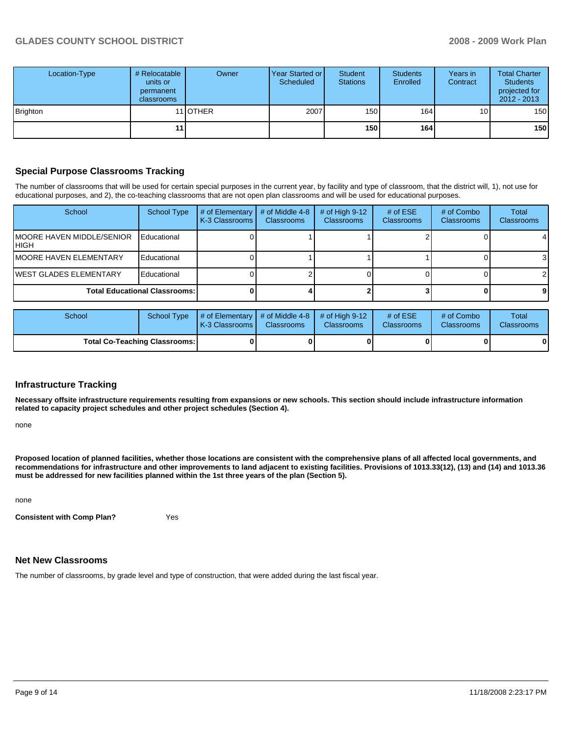| Location-Type | # Relocatable  <br>units or<br>permanent<br><b>classrooms</b> | Owner    | Year Started or<br>Scheduled | Student<br><b>Stations</b> | <b>Students</b><br>Enrolled | Years in<br>Contract | <b>Total Charter</b><br><b>Students</b><br>projected for<br>$2012 - 2013$ |
|---------------|---------------------------------------------------------------|----------|------------------------------|----------------------------|-----------------------------|----------------------|---------------------------------------------------------------------------|
| Brighton      |                                                               | 11 OTHER | 2007                         | 150                        | 164                         | 10                   | 150                                                                       |
|               | 11 <sup>1</sup>                                               |          |                              | 150                        | 164 l                       |                      | 150                                                                       |

# **Special Purpose Classrooms Tracking**

The number of classrooms that will be used for certain special purposes in the current year, by facility and type of classroom, that the district will, 1), not use for educational purposes, and 2), the co-teaching classrooms that are not open plan classrooms and will be used for educational purposes.

| School                                     | School Type | # of Elementary<br>K-3 Classrooms I | # of Middle 4-8<br><b>Classrooms</b> | # of High $9-12$<br><b>Classrooms</b> | # of $ESE$<br>Classrooms | # of Combo<br><b>Classrooms</b> | Total<br><b>Classrooms</b> |
|--------------------------------------------|-------------|-------------------------------------|--------------------------------------|---------------------------------------|--------------------------|---------------------------------|----------------------------|
| <b>IMOORE HAVEN MIDDLE/SENIOR</b><br>IHIGH | Educational |                                     |                                      |                                       |                          |                                 | 4                          |
| <b>IMOORE HAVEN ELEMENTARY</b>             | Educational |                                     |                                      |                                       |                          |                                 | 3                          |
| <b>IWEST GLADES ELEMENTARY</b>             | Educational |                                     |                                      |                                       |                          |                                 | $\mathcal{P}$              |
| <b>Total Educational Classrooms:</b>       |             |                                     |                                      |                                       |                          |                                 | 91                         |

| School                               | School Type | $\parallel$ # of Elementary $\parallel$ # of Middle 4-8 $\parallel$ # of High 9-12<br><b>IK-3 Classrooms I</b> | <b>Classrooms</b> | <b>Classrooms</b> | # of $ESE$<br><b>Classrooms</b> | # of Combo<br><b>Classrooms</b> | Total<br><b>Classrooms</b> |
|--------------------------------------|-------------|----------------------------------------------------------------------------------------------------------------|-------------------|-------------------|---------------------------------|---------------------------------|----------------------------|
| <b>Total Co-Teaching Classrooms:</b> |             |                                                                                                                | 0                 |                   |                                 | 0                               | 0                          |

#### **Infrastructure Tracking**

**Necessary offsite infrastructure requirements resulting from expansions or new schools. This section should include infrastructure information related to capacity project schedules and other project schedules (Section 4).** 

none

**Proposed location of planned facilities, whether those locations are consistent with the comprehensive plans of all affected local governments, and recommendations for infrastructure and other improvements to land adjacent to existing facilities. Provisions of 1013.33(12), (13) and (14) and 1013.36 must be addressed for new facilities planned within the 1st three years of the plan (Section 5).** 

none

**Consistent with Comp Plan?** Yes

#### **Net New Classrooms**

The number of classrooms, by grade level and type of construction, that were added during the last fiscal year.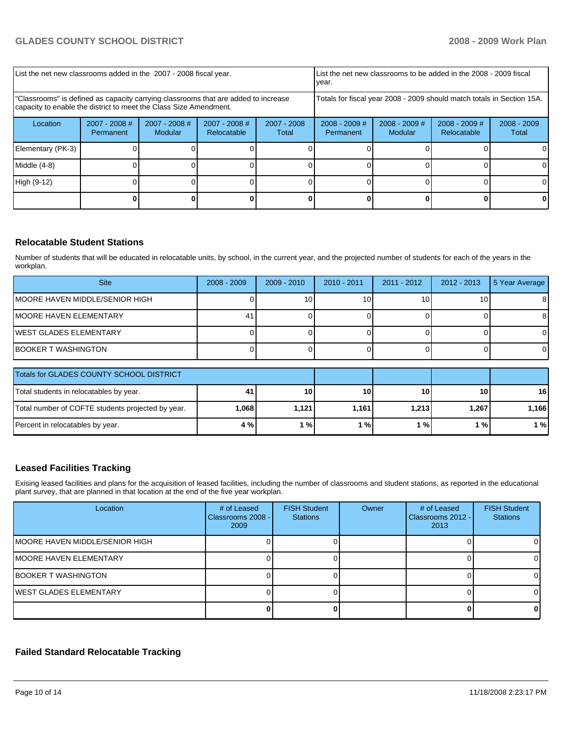| List the net new classrooms added in the 2007 - 2008 fiscal year.                                                                                       |                              |                            |                                |                                                                        | List the net new classrooms to be added in the 2008 - 2009 fiscal<br>year. |                            |                                |                        |
|---------------------------------------------------------------------------------------------------------------------------------------------------------|------------------------------|----------------------------|--------------------------------|------------------------------------------------------------------------|----------------------------------------------------------------------------|----------------------------|--------------------------------|------------------------|
| "Classrooms" is defined as capacity carrying classrooms that are added to increase<br>capacity to enable the district to meet the Class Size Amendment. |                              |                            |                                | Totals for fiscal year 2008 - 2009 should match totals in Section 15A. |                                                                            |                            |                                |                        |
| Location                                                                                                                                                | $2007 - 2008$ #<br>Permanent | $2007 - 2008$ #<br>Modular | $2007 - 2008$ #<br>Relocatable | 2007 - 2008<br>Total                                                   | $2008 - 2009$ #<br>Permanent                                               | $2008 - 2009$ #<br>Modular | $2008 - 2009$ #<br>Relocatable | $2008 - 2009$<br>Total |
| Elementary (PK-3)                                                                                                                                       |                              |                            |                                |                                                                        |                                                                            |                            |                                |                        |
| Middle (4-8)                                                                                                                                            |                              |                            |                                |                                                                        |                                                                            |                            |                                |                        |
| High (9-12)                                                                                                                                             |                              |                            |                                |                                                                        |                                                                            |                            |                                | 0                      |
|                                                                                                                                                         |                              |                            |                                |                                                                        |                                                                            |                            |                                |                        |

# **Relocatable Student Stations**

Number of students that will be educated in relocatable units, by school, in the current year, and the projected number of students for each of the years in the workplan.

| <b>Site</b>                            | $2008 - 2009$ | $2009 - 2010$ | $2010 - 2011$ | 2011 - 2012 | 2012 - 2013     | 5 Year Average |
|----------------------------------------|---------------|---------------|---------------|-------------|-----------------|----------------|
| <b>IMOORE HAVEN MIDDLE/SENIOR HIGH</b> |               | 10            | 10            | 10          | 10 <sub>1</sub> | 81             |
| IMOORE HAVEN ELEMENTARY                |               |               |               |             |                 | 81             |
| <b>IWEST GLADES ELEMENTARY</b>         |               |               |               |             |                 |                |
| <b>IBOOKER T WASHINGTON</b>            |               |               |               |             |                 |                |

| Totals for GLADES COUNTY SCHOOL DISTRICT          |      |       |       |           |       |       |
|---------------------------------------------------|------|-------|-------|-----------|-------|-------|
| Total students in relocatables by year.           | -41. | 10    | 10    | <b>10</b> | 10    | 16    |
| Total number of COFTE students projected by year. | .068 | 1.121 | 1.161 | 1.213     | 1.267 | 1.166 |
| Percent in relocatables by year.                  | 4 %  | $1\%$ | %     | l %l      | 1%    | 1 %   |

# **Leased Facilities Tracking**

Exising leased facilities and plans for the acquisition of leased facilities, including the number of classrooms and student stations, as reported in the educational plant survey, that are planned in that location at the end of the five year workplan.

| Location                        | # of Leased<br>Classrooms 2008 -<br>2009 | <b>FISH Student</b><br><b>Stations</b> | Owner | # of Leased<br>Classrooms 2012 - I<br>2013 | <b>FISH Student</b><br><b>Stations</b> |
|---------------------------------|------------------------------------------|----------------------------------------|-------|--------------------------------------------|----------------------------------------|
| IMOORE HAVEN MIDDLE/SENIOR HIGH |                                          |                                        |       |                                            |                                        |
| <b>IMOORE HAVEN ELEMENTARY</b>  |                                          |                                        |       |                                            |                                        |
| <b>BOOKER T WASHINGTON</b>      |                                          |                                        |       |                                            |                                        |
| <b>IWEST GLADES ELEMENTARY</b>  |                                          |                                        |       |                                            |                                        |
|                                 |                                          |                                        |       |                                            |                                        |

# **Failed Standard Relocatable Tracking**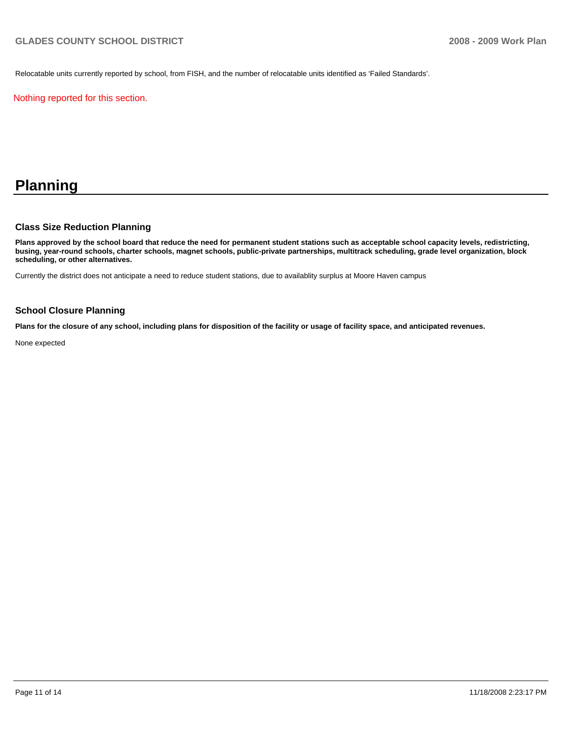Relocatable units currently reported by school, from FISH, and the number of relocatable units identified as 'Failed Standards'.

Nothing reported for this section.

# **Planning**

## **Class Size Reduction Planning**

**Plans approved by the school board that reduce the need for permanent student stations such as acceptable school capacity levels, redistricting, busing, year-round schools, charter schools, magnet schools, public-private partnerships, multitrack scheduling, grade level organization, block scheduling, or other alternatives.** 

Currently the district does not anticipate a need to reduce student stations, due to availablity surplus at Moore Haven campus

#### **School Closure Planning**

**Plans for the closure of any school, including plans for disposition of the facility or usage of facility space, and anticipated revenues.** 

None expected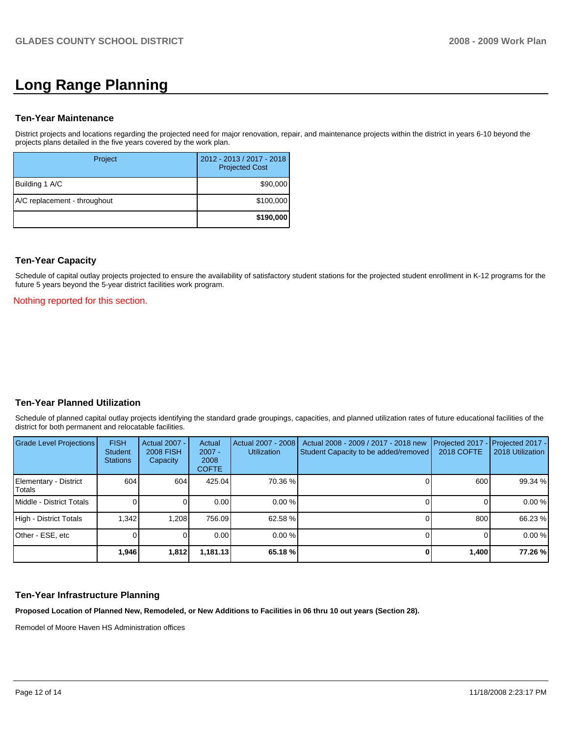# **Long Range Planning**

#### **Ten-Year Maintenance**

District projects and locations regarding the projected need for major renovation, repair, and maintenance projects within the district in years 6-10 beyond the projects plans detailed in the five years covered by the work plan.

| Project                      | 2012 - 2013 / 2017 - 2018<br><b>Projected Cost</b> |
|------------------------------|----------------------------------------------------|
| Building 1 A/C               | \$90,000                                           |
| A/C replacement - throughout | \$100,000                                          |
|                              | \$190,000                                          |

## **Ten-Year Capacity**

Schedule of capital outlay projects projected to ensure the availability of satisfactory student stations for the projected student enrollment in K-12 programs for the future 5 years beyond the 5-year district facilities work program.

#### Nothing reported for this section.

# **Ten-Year Planned Utilization**

Schedule of planned capital outlay projects identifying the standard grade groupings, capacities, and planned utilization rates of future educational facilities of the district for both permanent and relocatable facilities.

| Grade Level Projections         | <b>FISH</b><br>Student<br><b>Stations</b> | <b>Actual 2007 -</b><br><b>2008 FISH</b><br>Capacity | Actual<br>$2007 -$<br>2008<br><b>COFTE</b> | Actual 2007 - 2008<br><b>Utilization</b> | Actual 2008 - 2009 / 2017 - 2018 new<br>Student Capacity to be added/removed | Projected 2017<br>2018 COFTE | Projected 2017 -<br>2018 Utilization |
|---------------------------------|-------------------------------------------|------------------------------------------------------|--------------------------------------------|------------------------------------------|------------------------------------------------------------------------------|------------------------------|--------------------------------------|
| Elementary - District<br>Totals | 604                                       | 604                                                  | 425.04                                     | 70.36 %                                  |                                                                              | 600                          | 99.34 %                              |
| Middle - District Totals        |                                           |                                                      | 0.00                                       | $0.00\%$                                 |                                                                              |                              | 0.00 %                               |
| High - District Totals          | 1.342                                     | 1.208                                                | 756.09                                     | 62.58 %                                  |                                                                              | 800                          | 66.23 %                              |
| Other - ESE, etc                |                                           |                                                      | 0.00                                       | 0.00%                                    |                                                                              |                              | 0.00%                                |
|                                 | 1,946                                     | 1,812                                                | 1,181.13                                   | 65.18 %                                  |                                                                              | 1,400                        | 77.26 %                              |

## **Ten-Year Infrastructure Planning**

**Proposed Location of Planned New, Remodeled, or New Additions to Facilities in 06 thru 10 out years (Section 28).** 

Remodel of Moore Haven HS Administration offices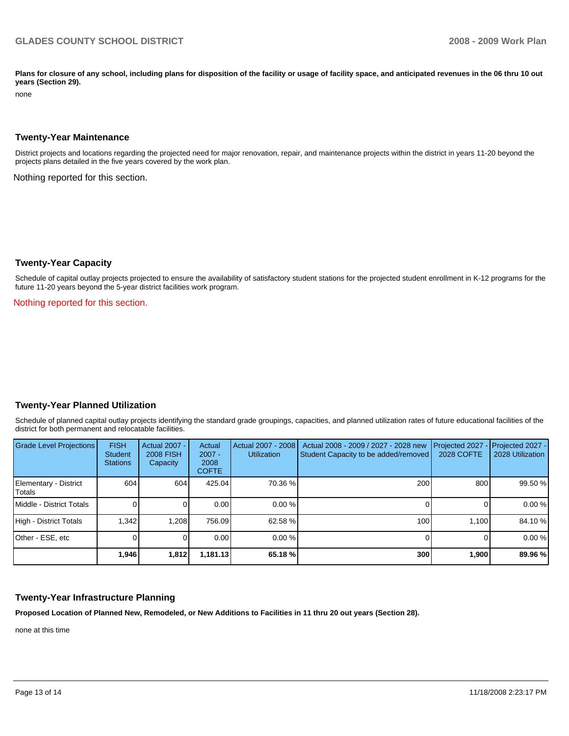Plans for closure of any school, including plans for disposition of the facility or usage of facility space, and anticipated revenues in the 06 thru 10 out **years (Section 29).** 

none

#### **Twenty-Year Maintenance**

District projects and locations regarding the projected need for major renovation, repair, and maintenance projects within the district in years 11-20 beyond the projects plans detailed in the five years covered by the work plan.

Nothing reported for this section.

#### **Twenty-Year Capacity**

Schedule of capital outlay projects projected to ensure the availability of satisfactory student stations for the projected student enrollment in K-12 programs for the future 11-20 years beyond the 5-year district facilities work program.

Nothing reported for this section.

#### **Twenty-Year Planned Utilization**

Schedule of planned capital outlay projects identifying the standard grade groupings, capacities, and planned utilization rates of future educational facilities of the district for both permanent and relocatable facilities.

| <b>Grade Level Projections</b>  | <b>FISH</b><br><b>Student</b><br><b>Stations</b> | <b>Actual 2007 -</b><br><b>2008 FISH</b><br>Capacity | Actual<br>$2007 -$<br>2008<br><b>COFTE</b> | Actual 2007 - 2008<br><b>Utilization</b> | Actual 2008 - 2009 / 2027 - 2028 new<br>Student Capacity to be added/removed | Projected 2027<br>2028 COFTE | Projected 2027 -<br>2028 Utilization |
|---------------------------------|--------------------------------------------------|------------------------------------------------------|--------------------------------------------|------------------------------------------|------------------------------------------------------------------------------|------------------------------|--------------------------------------|
| Elementary - District<br>Totals | 604                                              | 604                                                  | 425.04                                     | 70.36 %                                  | 200                                                                          | 800                          | 99.50 %                              |
| Middle - District Totals        |                                                  |                                                      | 0.00                                       | 0.00%                                    |                                                                              |                              | 0.00%                                |
| High - District Totals          | 1.342                                            | 1.208                                                | 756.09                                     | 62.58 %                                  | 100                                                                          | 1.100                        | 84.10 %                              |
| Other - ESE, etc                |                                                  |                                                      | 0.00                                       | 0.00%                                    |                                                                              |                              | 0.00%                                |
|                                 | 1,946                                            | 1,812                                                | 1,181.13                                   | 65.18 %                                  | 300                                                                          | 1,900                        | 89.96 %                              |

# **Twenty-Year Infrastructure Planning**

**Proposed Location of Planned New, Remodeled, or New Additions to Facilities in 11 thru 20 out years (Section 28).** 

none at this time